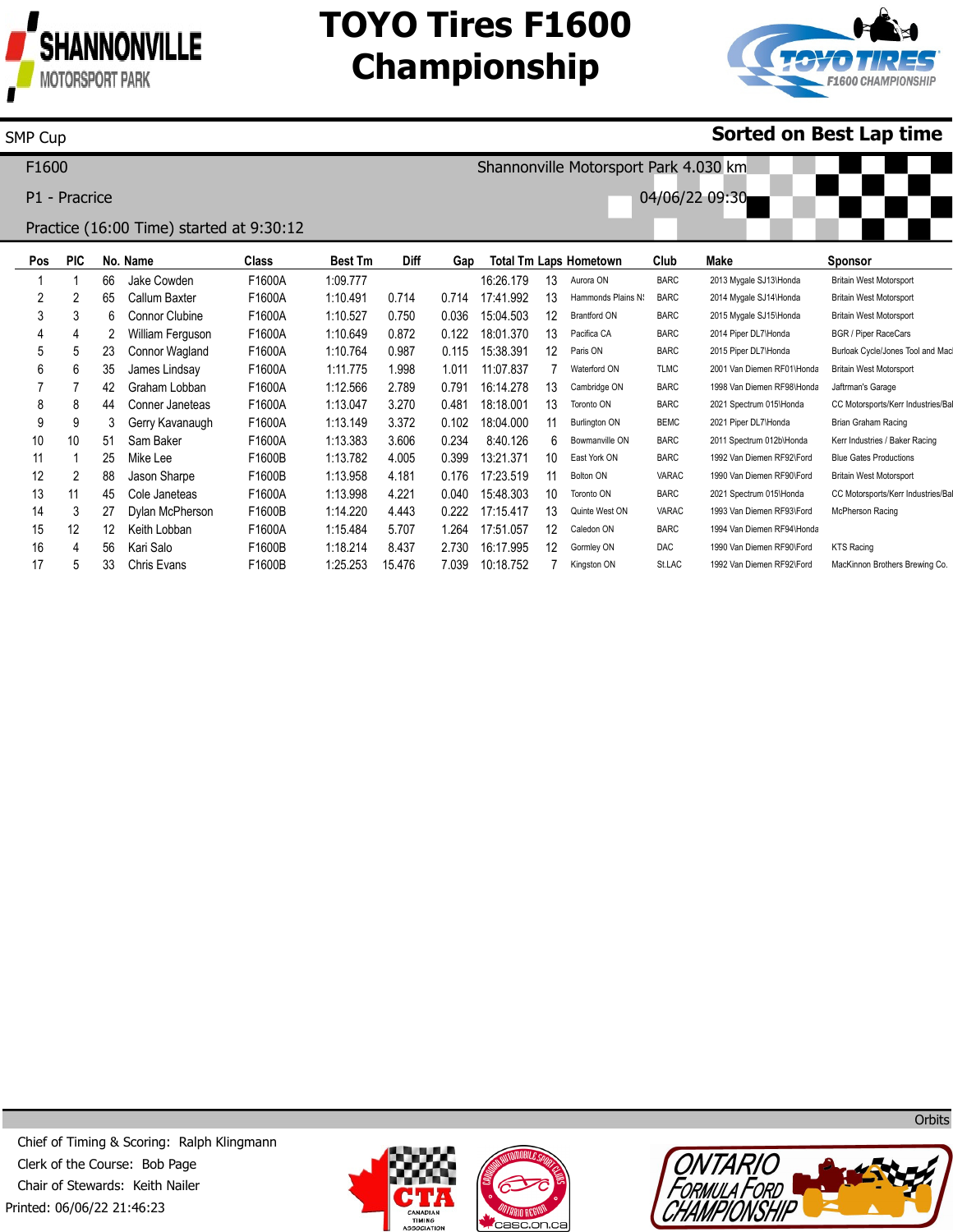

15 16 17

SMP Cup

12 4 5 12 56 33 Keith Lobban Kari Salo Chris Evans

F1600A F1600B F1600B 1:15.484 1:18.214 1:25.253

5.707 8.437 15.476

1.264 2.730 7.039

17:51.057 16:17.995 10:18.752 12 12 7 Caledon ON Gormley ON Kingston ON BARC DAC St.LAC 1994 Van Diemen RF94\Honda 1990 Van Diemen RF90\Ford 1992 Van Diemen RF92\Ford

KTS Racing

MacKinnon Brothers Brewing Co.

# **TOYO Tires F1600 Championship**



### **Sorted on Best Lap time**

**Pos** 1 2 3 4 5 6 7 8 9 10 11 12 13 14 **PIC** 1 2 3 4 5 6 7 8 9 10 1 2 11 3 **No. Name** 66 65 6 2 23 35 42 44 3 51 25 88 45 27 Jake Cowden Callum Baxter Connor Clubine William Ferguson Connor Wagland James Lindsay Graham Lobban Conner Janeteas Gerry Kavanaugh Sam Baker Mike Lee Jason Sharpe Cole Janeteas Dylan McPherson **Class** F1600A F1600A F1600A F1600A F1600A F1600A F1600A F1600A F1600A F1600A F1600B F1600B F1600A F1600B **Best Tm** 1:09.777 1:10.491 1:10.527 1:10.649 1:10.764 1:11.775 1:12.566 1:13.047 1:13.149 1:13.383 1:13.782 1:13.958 1:13.998 1:14.220 **Diff** 0.714 0.750 0.872 0.987 1.998 2.789 3.270 3.372 3.606 4.005 4.181 4.221 4.443 **Gap** 0.714 0.036 0.122 0.115 1.011 0.791 0.481 0.102 0.234 0.399 0.176 0.040 0.222 **Total Tm Laps Hometown** 16:26.179 17:41.992 15:04.503 18:01.370 15:38.391 11:07.837 16:14.278 18:18.001 18:04.000 8:40.126 13:21.371 17:23.519 15:48.303 17:15.417 13 13 12 13 12 7 13 13 11 6 10 11 10 13 Aurora ON Hammonds Plains N: Brantford ON Pacifica CA Paris ON Waterford ON Cambridge ON Toronto ON Burlington ON Bowmanville ON East York ON Bolton ON Toronto ON Quinte West ON **Club** BARC BARC BARC BARC BARC TLMC BARC BARC BEMC BARC BARC VARAC BARC VARAC **Make** 2013 Mygale SJ13\Honda 2014 Mygale SJ14\Honda 2015 Mygale SJ15\Honda 2014 Piper DL7\Honda 2015 Piper DL7\Honda 2001 Van Diemen RF01\Honda 1998 Van Diemen RF98\Honda 2021 Spectrum 015\Honda 2021 Piper DL7\Honda 2011 Spectrum 012b\Honda 1992 Van Diemen RF92\Ford 1990 Van Diemen RF90\Ford 2021 Spectrum 015\Honda 1993 Van Diemen RF93\Ford **Sponsor** Britain West Motorsport Britain West Motorsport Britain West Motorsport BGR / Piper RaceCars Burloak Cycle/Jones Tool and Mad Britain West Motorsport Jaftrman's Garage CC Motorsports/Kerr Industries/Ba Brian Graham Racing Kerr Industries / Baker Racing Blue Gates Productions Britain West Motorsport CC Motorsports/Kerr Industries/Ba McPherson Racing F1600 P1 - Pracrice Practice (16:00 Time) started at 9:30:12 Shannonville Motorsport Park 4.030 km 04/06/22 09:30

Printed: 06/06/22 21:46:23 Chief of Timing & Scoring: Ralph Klingmann Clerk of the Course: Bob Page Chair of Stewards: Keith Nailer







**Orbits**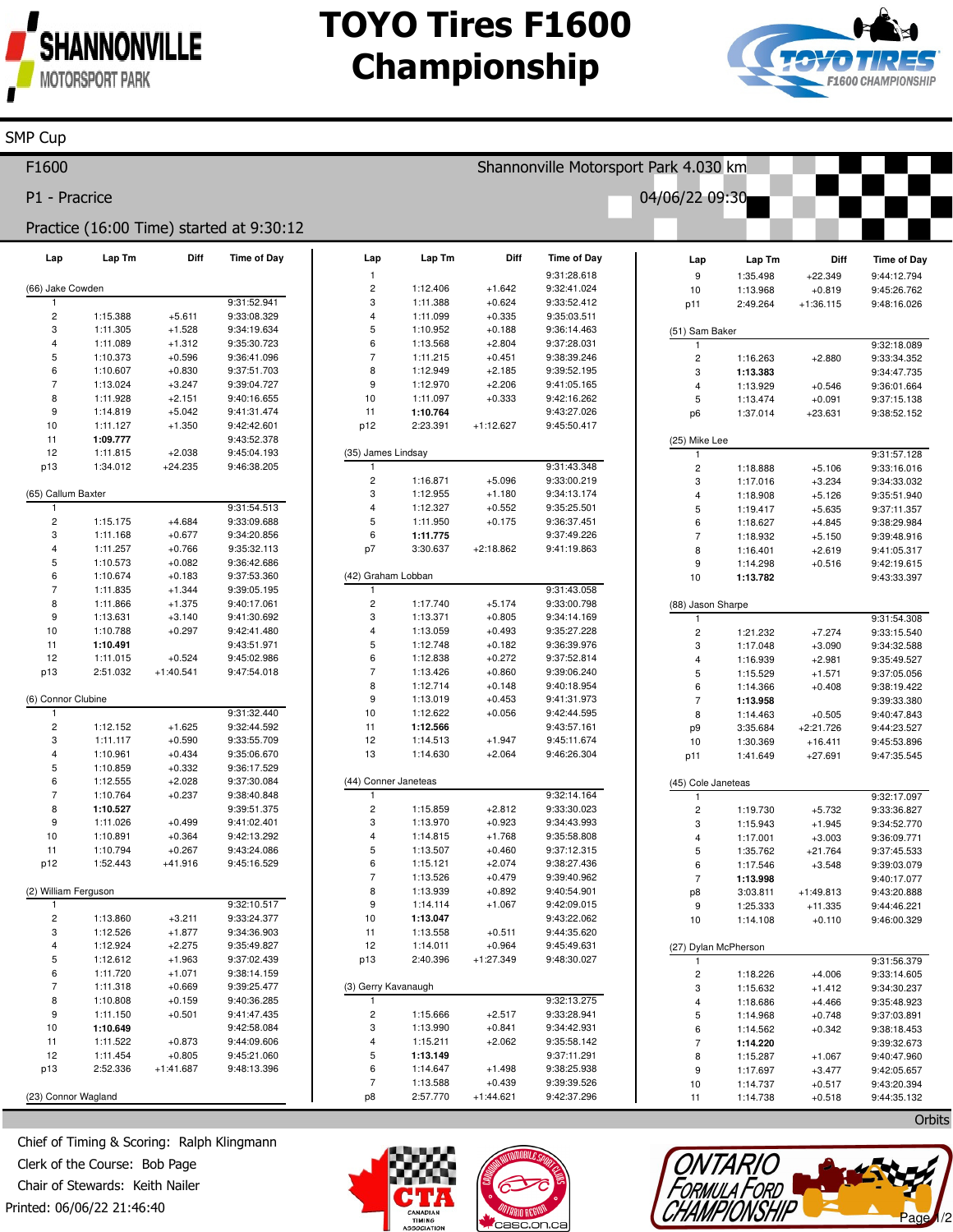

**SMP Cup** 

## **TOYO Tires F1600 Championship**



| F1600                                    |                      |             |                            | Shannonville Motorsport Park 4.030 km |                      |                      |                                   |  |                         |                      |                         |                            |
|------------------------------------------|----------------------|-------------|----------------------------|---------------------------------------|----------------------|----------------------|-----------------------------------|--|-------------------------|----------------------|-------------------------|----------------------------|
| P1 - Pracrice                            |                      |             |                            |                                       |                      |                      |                                   |  | 04/06/22 09:30          |                      |                         |                            |
| Practice (16:00 Time) started at 9:30:12 |                      |             |                            |                                       |                      |                      |                                   |  |                         |                      |                         |                            |
| Lap                                      | Lap Tm               | Diff        | <b>Time of Day</b>         | Lap                                   | Lap Tm               | Diff                 | <b>Time of Day</b><br>9:31:28.618 |  | Lap                     | Lap Tm               | Diff                    | <b>Time of Day</b>         |
| (66) Jake Cowden                         |                      |             |                            | $\mathbf{1}$<br>$\overline{c}$        | 1:12.406             | $+1.642$             | 9:32:41.024                       |  | 9<br>10                 | 1:35.498<br>1:13.968 | $+22.349$<br>$+0.819$   | 9:44:12.794<br>9:45:26.762 |
| -1                                       |                      |             | 9:31:52.941                | 3                                     | 1:11.388             | $+0.624$             | 9:33:52.412                       |  | p11                     | 2:49.264             | $+1:36.115$             | 9:48:16.026                |
| $\sqrt{2}$                               | 1:15.388             | $+5.611$    | 9:33:08.329                | $\overline{4}$                        | 1:11.099             | $+0.335$             | 9:35:03.511                       |  |                         |                      |                         |                            |
| 3                                        | 1:11.305             | $+1.528$    | 9:34:19.634                | $\sqrt{5}$                            | 1:10.952             | $+0.188$             | 9:36:14.463                       |  | (51) Sam Baker          |                      |                         |                            |
| 4                                        | 1:11.089             | $+1.312$    | 9:35:30.723                | 6                                     | 1:13.568             | $+2.804$             | 9:37:28.031                       |  | $\mathbf{1}$            |                      |                         | 9:32:18.089                |
| 5                                        | 1:10.373             | $+0.596$    | 9:36:41.096                | $\overline{7}$                        | 1:11.215             | $+0.451$             | 9:38:39.246                       |  | $\overline{c}$          | 1:16.263             | $+2.880$                | 9:33:34.352                |
| 6                                        | 1:10.607             | $+0.830$    | 9:37:51.703                | 8                                     | 1:12.949             | $+2.185$             | 9:39:52.195                       |  | 3                       | 1:13.383             |                         | 9:34:47.735                |
| $\overline{7}$                           | 1:13.024             | $+3.247$    | 9:39:04.727                | 9                                     | 1:12.970             | $+2.206$             | 9:41:05.165                       |  | $\overline{4}$          | 1:13.929             | $+0.546$                | 9:36:01.664                |
| 8                                        | 1:11.928             | $+2.151$    | 9:40:16.655                | 10                                    | 1:11.097             | $+0.333$             | 9:42:16.262                       |  | 5                       | 1:13.474             | $+0.091$                | 9:37:15.138                |
| 9                                        | 1:14.819             | $+5.042$    | 9:41:31.474                | 11                                    | 1:10.764             |                      | 9:43:27.026                       |  | p <sub>6</sub>          | 1:37.014             | $+23.631$               | 9:38:52.152                |
| 10<br>11                                 | 1:11.127<br>1:09.777 | $+1.350$    | 9:42:42.601<br>9:43:52.378 | p12                                   | 2:23.391             | $+1:12.627$          | 9:45:50.417                       |  |                         |                      |                         |                            |
| 12                                       | 1:11.815             | $+2.038$    | 9:45:04.193                | (35) James Lindsay                    |                      |                      |                                   |  | (25) Mike Lee<br>1      |                      |                         | 9:31:57.128                |
| p13                                      | 1:34.012             | $+24.235$   | 9:46:38.205                | 1                                     |                      |                      | 9:31:43.348                       |  | $\sqrt{2}$              | 1:18.888             | $+5.106$                | 9:33:16.016                |
|                                          |                      |             |                            | $\overline{c}$                        | 1:16.871             | $+5.096$             | 9:33:00.219                       |  | 3                       | 1:17.016             | $+3.234$                | 9:34:33.032                |
| (65) Callum Baxter                       |                      |             |                            | 3                                     | 1:12.955             | $+1.180$             | 9:34:13.174                       |  | $\overline{4}$          | 1:18.908             | $+5.126$                | 9:35:51.940                |
| $\mathbf{1}$                             |                      |             | 9:31:54.513                | $\overline{4}$                        | 1:12.327             | $+0.552$             | 9:35:25.501                       |  | 5                       | 1:19.417             | $+5.635$                | 9:37:11.357                |
| $\overline{c}$                           | 1:15.175             | $+4.684$    | 9:33:09.688                | $\sqrt{5}$                            | 1:11.950             | $+0.175$             | 9:36:37.451                       |  | 6                       | 1:18.627             | $+4.845$                | 9:38:29.984                |
| 3                                        | 1:11.168             | $+0.677$    | 9:34:20.856                | $\,6$                                 | 1:11.775             |                      | 9:37:49.226                       |  | $\overline{7}$          | 1:18.932             | $+5.150$                | 9:39:48.916                |
| 4                                        | 1:11.257             | $+0.766$    | 9:35:32.113                | p7                                    | 3:30.637             | $+2:18.862$          | 9:41:19.863                       |  | 8                       | 1:16.401             | $+2.619$                | 9:41:05.317                |
| 5                                        | 1:10.573             | $+0.082$    | 9:36:42.686                |                                       |                      |                      |                                   |  | 9                       | 1:14.298             | $+0.516$                | 9:42:19.615                |
| 6                                        | 1:10.674             | $+0.183$    | 9:37:53.360                | (42) Graham Lobban                    |                      |                      |                                   |  | 10                      | 1:13.782             |                         | 9:43:33.397                |
| $\overline{7}$                           | 1:11.835             | $+1.344$    | 9:39:05.195                | $\overline{1}$                        |                      |                      | 9:31:43.058                       |  |                         |                      |                         |                            |
| 8                                        | 1:11.866             | $+1.375$    | 9:40:17.061                | $\overline{c}$                        | 1:17.740             | $+5.174$             | 9:33:00.798                       |  | (88) Jason Sharpe       |                      |                         |                            |
| 9                                        | 1:13.631             | $+3.140$    | 9:41:30.692                | 3                                     | 1:13.371             | $+0.805$             | 9:34:14.169                       |  | -1                      |                      |                         | 9:31:54.308                |
| 10                                       | 1:10.788             | $+0.297$    | 9:42:41.480                | $\overline{4}$                        | 1:13.059             | $+0.493$             | 9:35:27.228                       |  | $\overline{\mathbf{c}}$ | 1:21.232             | $+7.274$                | 9:33:15.540                |
| 11                                       | 1:10.491             |             | 9:43:51.971                | 5                                     | 1:12.748             | $+0.182$             | 9:36:39.976                       |  | 3                       | 1:17.048             | $+3.090$                | 9:34:32.588                |
| 12                                       | 1:11.015             | $+0.524$    | 9:45:02.986                | 6                                     | 1:12.838             | $+0.272$             | 9:37:52.814                       |  | $\overline{4}$          | 1:16.939             | $+2.981$                | 9:35:49.527                |
| p13                                      | 2:51.032             | $+1:40.541$ | 9:47:54.018                | $\overline{7}$<br>8                   | 1:13.426<br>1:12.714 | $+0.860$             | 9:39:06.240<br>9:40:18.954        |  | 5                       | 1:15.529             | $+1.571$                | 9:37:05.056                |
| (6) Connor Clubine                       |                      |             |                            | $\boldsymbol{9}$                      | 1:13.019             | $+0.148$<br>$+0.453$ | 9:41:31.973                       |  | 6<br>$\overline{7}$     | 1:14.366             | $+0.408$                | 9:38:19.422                |
| -1                                       |                      |             | 9:31:32.440                | 10                                    | 1:12.622             | $+0.056$             | 9:42:44.595                       |  | 8                       | 1:13.958             |                         | 9:39:33.380                |
| $\overline{c}$                           | 1:12.152             | $+1.625$    | 9:32:44.592                | 11                                    | 1:12.566             |                      | 9:43:57.161                       |  | p <sub>9</sub>          | 1:14.463<br>3:35.684 | $+0.505$<br>$+2:21.726$ | 9:40:47.843<br>9:44:23.527 |
| 3                                        | 1:11.117             | $+0.590$    | 9:33:55.709                | 12                                    | 1:14.513             | $+1.947$             | 9:45:11.674                       |  | 10                      | 1:30.369             | $+16.411$               | 9:45:53.896                |
| 4                                        | 1:10.961             | $+0.434$    | 9:35:06.670                | 13                                    | 1:14.630             | $+2.064$             | 9:46:26.304                       |  | p11                     | 1:41.649             | $+27.691$               | 9:47:35.545                |
| 5                                        | 1:10.859             | $+0.332$    | 9:36:17.529                |                                       |                      |                      |                                   |  |                         |                      |                         |                            |
| 6                                        | 1:12.555             | $+2.028$    | 9:37:30.084                |                                       | (44) Conner Janeteas |                      |                                   |  | (45) Cole Janeteas      |                      |                         |                            |
| $\overline{7}$                           | 1:10.764             | $+0.237$    | 9:38:40.848                | 1                                     |                      |                      | 9:32:14.164                       |  | $\mathbf{1}$            |                      |                         | 9:32:17.097                |
| 8                                        | 1:10.527             |             | 9:39:51.375                | $\overline{\mathbf{c}}$               | 1:15.859             | $+2.812$             | 9:33:30.023                       |  | $\overline{c}$          | 1:19.730             | $+5.732$                | 9:33:36.827                |
| 9                                        | 1:11.026             | $+0.499$    | 9:41:02.401                | 3                                     | 1:13.970             | $+0.923$             | 9:34:43.993                       |  | 3                       | 1:15.943             | $+1.945$                | 9:34:52.770                |
| 10                                       | 1:10.891             | $+0.364$    | 9:42:13.292                | $\overline{4}$                        | 1:14.815             | $+1.768$             | 9:35:58.808                       |  | $\overline{4}$          | 1:17.001             | $+3.003$                | 9:36:09.771                |
| 11                                       | 1:10.794             | $+0.267$    | 9:43:24.086                |                                       | 1:13.507             | $+0.460$             | 9:37:12.315                       |  | 5                       | 1:35.762             | $+21.764$               | 9:37:45.533                |
| p12                                      | 1:52.443             | $+41.916$   | 9:45:16.529                | 6                                     | 1:15.121             | $+2.074$             | 9:38:27.436                       |  | 6                       | 1:17.546             | $+3.548$                | 9:39:03.079                |
|                                          |                      |             |                            | $\overline{7}$                        | 1:13.526             | $+0.479$             | 9:39:40.962                       |  | $\overline{7}$          | 1:13.998             |                         | 9:40:17.077                |
| (2) William Ferguson                     |                      |             | 9:32:10.517                | 8<br>$\boldsymbol{9}$                 | 1:13.939             | $+0.892$             | 9:40:54.901                       |  | p8                      | 3:03.811             | $+1:49.813$             | 9:43:20.888                |
| 1<br>$\overline{\mathbf{c}}$             | 1:13.860             | $+3.211$    | 9:33:24.377                | 10                                    | 1:14.114<br>1:13.047 | $+1.067$             | 9:42:09.015<br>9:43:22.062        |  | 9                       | 1:25.333             | $+11.335$               | 9:44:46.221                |
| 3                                        | 1:12.526             | $+1.877$    | 9:34:36.903                | 11                                    | 1:13.558             | $+0.511$             | 9:44:35.620                       |  | 10                      | 1:14.108             | $+0.110$                | 9:46:00.329                |
| $\overline{4}$                           | 1:12.924             | $+2.275$    | 9:35:49.827                | 12                                    | 1:14.011             | $+0.964$             | 9:45:49.631                       |  | (27) Dylan McPherson    |                      |                         |                            |
| 5                                        | 1:12.612             | $+1.963$    | 9:37:02.439                | p13                                   | 2:40.396             | $+1:27.349$          | 9:48:30.027                       |  | 1                       |                      |                         | 9:31:56.379                |
| 6                                        | 1:11.720             | $+1.071$    | 9:38:14.159                |                                       |                      |                      |                                   |  | $\sqrt{2}$              | 1:18.226             | $+4.006$                | 9:33:14.605                |
| $\overline{7}$                           | 1:11.318             | $+0.669$    | 9:39:25.477                | (3) Gerry Kavanaugh                   |                      |                      |                                   |  | 3                       | 1:15.632             | $+1.412$                | 9:34:30.237                |
| 8                                        | 1:10.808             | $+0.159$    | 9:40:36.285                |                                       |                      |                      | 9:32:13.275                       |  | $\overline{4}$          | 1:18.686             | $+4.466$                | 9:35:48.923                |
| 9                                        | 1:11.150             | $+0.501$    | 9:41:47.435                | $\overline{\mathbf{c}}$               | 1:15.666             | $+2.517$             | 9:33:28.941                       |  | 5                       | 1:14.968             | $+0.748$                | 9:37:03.891                |
| 10                                       | 1:10.649             |             | 9:42:58.084                | 3                                     | 1:13.990             | $+0.841$             | 9:34:42.931                       |  | 6                       | 1:14.562             | $+0.342$                | 9:38:18.453                |
| 11                                       | 1:11.522             | $+0.873$    | 9:44:09.606                | $\overline{4}$                        | 1:15.211             | $+2.062$             | 9:35:58.142                       |  | $\overline{7}$          | 1:14.220             |                         | 9:39:32.673                |
| 12                                       | 1:11.454             | $+0.805$    | 9:45:21.060                | 5                                     | 1:13.149             |                      | 9:37:11.291                       |  | 8                       | 1:15.287             | $+1.067$                | 9:40:47.960                |
| p13                                      | 2:52.336             | $+1:41.687$ | 9:48:13.396                | 6                                     | 1:14.647             | $+1.498$             | 9:38:25.938                       |  | $\boldsymbol{9}$        | 1:17.697             | $+3.477$                | 9:42:05.657                |
|                                          |                      |             |                            | $\overline{7}$                        | 1:13.588             | $+0.439$             | 9:39:39.526                       |  | 10                      | 1:14.737             | $+0.517$                | 9:43:20.394                |
| (23) Connor Wagland                      |                      |             |                            | p8                                    | 2:57.770             | $+1:44.621$          | 9:42:37.296                       |  | 11                      | 1:14.738             | $+0.518$                | 9:44:35.132                |

Chief of Timing & Scoring: Ralph Klingmann Clerk of the Course: Bob Page Chair of Stewards: Keith Nailer Printed: 06/06/22 21:46:40



Orbits

12 Page

**CONTARIO<br>FORMULA FORD<br>CHAMPIONSHIP**